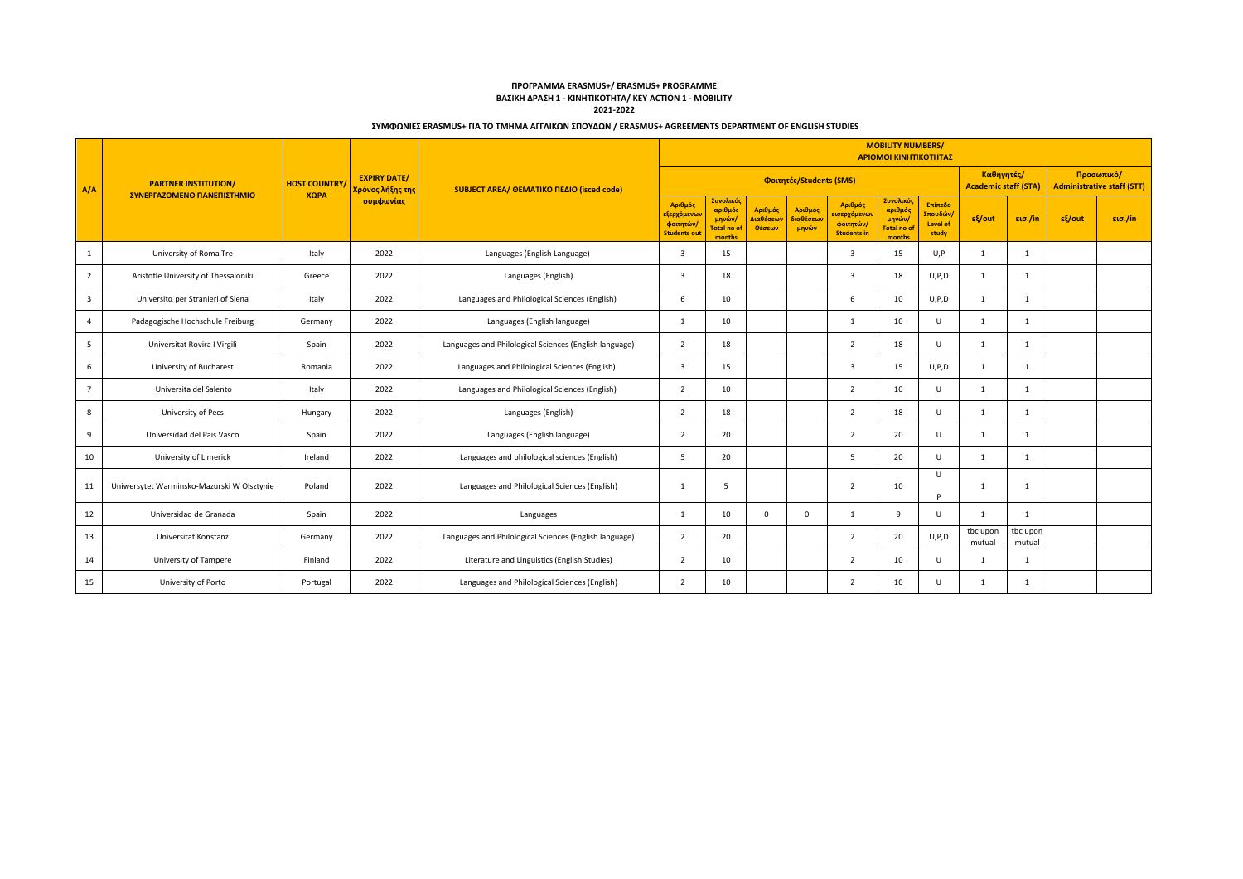|                |                                                                                                                                                                                                      |          |      |                                                        |                                                                          |                                                       |                                             |                                             |                                                                         | <b>MOBILITY NUMBERS/</b><br>ΑΡΙΘΜΟΙ ΚΙΝΗΤΙΚΟΤΗΤΑΣ      |                                                 |                    |                    |        |         |
|----------------|------------------------------------------------------------------------------------------------------------------------------------------------------------------------------------------------------|----------|------|--------------------------------------------------------|--------------------------------------------------------------------------|-------------------------------------------------------|---------------------------------------------|---------------------------------------------|-------------------------------------------------------------------------|--------------------------------------------------------|-------------------------------------------------|--------------------|--------------------|--------|---------|
| A/A            | <b>EXPIRY DATE/</b><br><b>PARTNER INSTITUTION/</b><br><b>HOST COUNTRY</b><br><b>SUBJECT AREA/ ΘΕΜΑΤΙΚΟ ΠΕΔΙΟ (isced code)</b><br>Χρόνος λήξης της<br>ΣΥΝΕΡΓΑΖΟΜΕΝΟ ΠΑΝΕΠΙΣΤΗΜΙΟ<br>ΧΩРА<br>συμφωνίας |          |      |                                                        | Φοιτητές/Students (SMS)                                                  |                                                       | Καθηγητές/<br><b>Academic staff (STA)</b>   |                                             | Προσωπικό/<br><b>Administrative staff (STT)</b>                         |                                                        |                                                 |                    |                    |        |         |
|                |                                                                                                                                                                                                      |          |      |                                                        | Αριθμός<br><mark>εξερχόμενω</mark> ι<br>φοιτητών/<br><b>Students out</b> | Συνολικός<br>αριθμός<br>μηνών/<br>otal no o<br>months | Αριθμός<br><mark>Διαθέσεων</mark><br>Θέσεων | Αριθμός<br><mark>διαθέσεω</mark> ι<br>μηνών | Αριθμός<br><mark>εισερχόμεν</mark> ω<br>φοιτητών/<br><b>Students in</b> | Συνολικό<br>αριθμός<br>μηνών/<br>Total no of<br>months | Επίπεδο<br>Σπουδών/<br><b>Level of</b><br>study | $ε$ {/out          | εισ./in            | εξ/out | εισ./in |
| -1             | University of Roma Tre                                                                                                                                                                               | Italy    | 2022 | Languages (English Language)                           | $\overline{\mathbf{3}}$                                                  | 15                                                    |                                             |                                             | $\overline{\mathbf{3}}$                                                 | 15                                                     | U, P                                            | 1                  | 1                  |        |         |
| 2              | Aristotle University of Thessaloniki                                                                                                                                                                 | Greece   | 2022 | Languages (English)                                    | 3                                                                        | 18                                                    |                                             |                                             | $\overline{\mathbf{3}}$                                                 | 18                                                     | U, P, D                                         | 1                  | 1                  |        |         |
| 3              | Universita per Stranieri of Siena                                                                                                                                                                    | Italy    | 2022 | Languages and Philological Sciences (English)          | 6                                                                        | 10                                                    |                                             |                                             | 6                                                                       | 10                                                     | U, P, D                                         | $\mathbf{1}$       | $\mathbf{1}$       |        |         |
| $\overline{4}$ | Padagogische Hochschule Freiburg                                                                                                                                                                     | Germany  | 2022 | Languages (English language)                           | 1                                                                        | 10                                                    |                                             |                                             | 1                                                                       | 10                                                     | U                                               | 1                  | 1                  |        |         |
| 5              | Universitat Rovira I Virgili                                                                                                                                                                         | Spain    | 2022 | Languages and Philological Sciences (English language) | $\overline{2}$                                                           | 18                                                    |                                             |                                             | $\overline{2}$                                                          | 18                                                     | U                                               | 1                  | 1                  |        |         |
| 6              | University of Bucharest                                                                                                                                                                              | Romania  | 2022 | Languages and Philological Sciences (English)          | 3                                                                        | 15                                                    |                                             |                                             | 3                                                                       | 15                                                     | U, P, D                                         | 1                  | 1                  |        |         |
| $7^{\circ}$    | Universita del Salento                                                                                                                                                                               | Italy    | 2022 | Languages and Philological Sciences (English)          | 2                                                                        | 10                                                    |                                             |                                             | 2                                                                       | 10                                                     | U                                               | 1                  | $\mathbf{1}$       |        |         |
| 8              | University of Pecs                                                                                                                                                                                   | Hungary  | 2022 | Languages (English)                                    | $\overline{2}$                                                           | 18                                                    |                                             |                                             | $\overline{2}$                                                          | 18                                                     | $\cup$                                          | 1                  | 1                  |        |         |
| 9              | Universidad del Pais Vasco                                                                                                                                                                           | Spain    | 2022 | Languages (English language)                           | $\overline{2}$                                                           | 20                                                    |                                             |                                             | $\overline{2}$                                                          | 20                                                     | U                                               | 1                  | 1                  |        |         |
| 10             | University of Limerick                                                                                                                                                                               | Ireland  | 2022 | Languages and philological sciences (English)          | -5                                                                       | 20                                                    |                                             |                                             | 5                                                                       | 20                                                     | U                                               | 1                  | $\mathbf{1}$       |        |         |
| 11             | Uniwersytet Warminsko-Mazurski W Olsztynie                                                                                                                                                           | Poland   | 2022 | Languages and Philological Sciences (English)          | $\mathbf{1}$                                                             | -5                                                    |                                             |                                             | $\overline{2}$                                                          | 10                                                     | $\cup$<br><b>D</b>                              | 1                  | 1                  |        |         |
| 12             | Universidad de Granada                                                                                                                                                                               | Spain    | 2022 | Languages                                              | 1                                                                        | 10                                                    | $\mathbf 0$                                 | $\mathbf 0$                                 | 1                                                                       | 9                                                      | U                                               | 1                  | -1                 |        |         |
| 13             | Universitat Konstanz                                                                                                                                                                                 | Germany  | 2022 | Languages and Philological Sciences (English language) | $\overline{2}$                                                           | 20                                                    |                                             |                                             | $\overline{2}$                                                          | 20                                                     | U, P, D                                         | tbc upon<br>mutual | tbc upon<br>mutual |        |         |
| 14             | University of Tampere                                                                                                                                                                                | Finland  | 2022 | Literature and Linguistics (English Studies)           | $\overline{2}$                                                           | 10                                                    |                                             |                                             | 2                                                                       | 10                                                     | $\cup$                                          | $\mathbf{1}$       | -1                 |        |         |
| 15             | University of Porto                                                                                                                                                                                  | Portugal | 2022 | Languages and Philological Sciences (English)          | $\overline{2}$                                                           | 10                                                    |                                             |                                             | 2                                                                       | 10                                                     | U                                               | 1                  | $\overline{1}$     |        |         |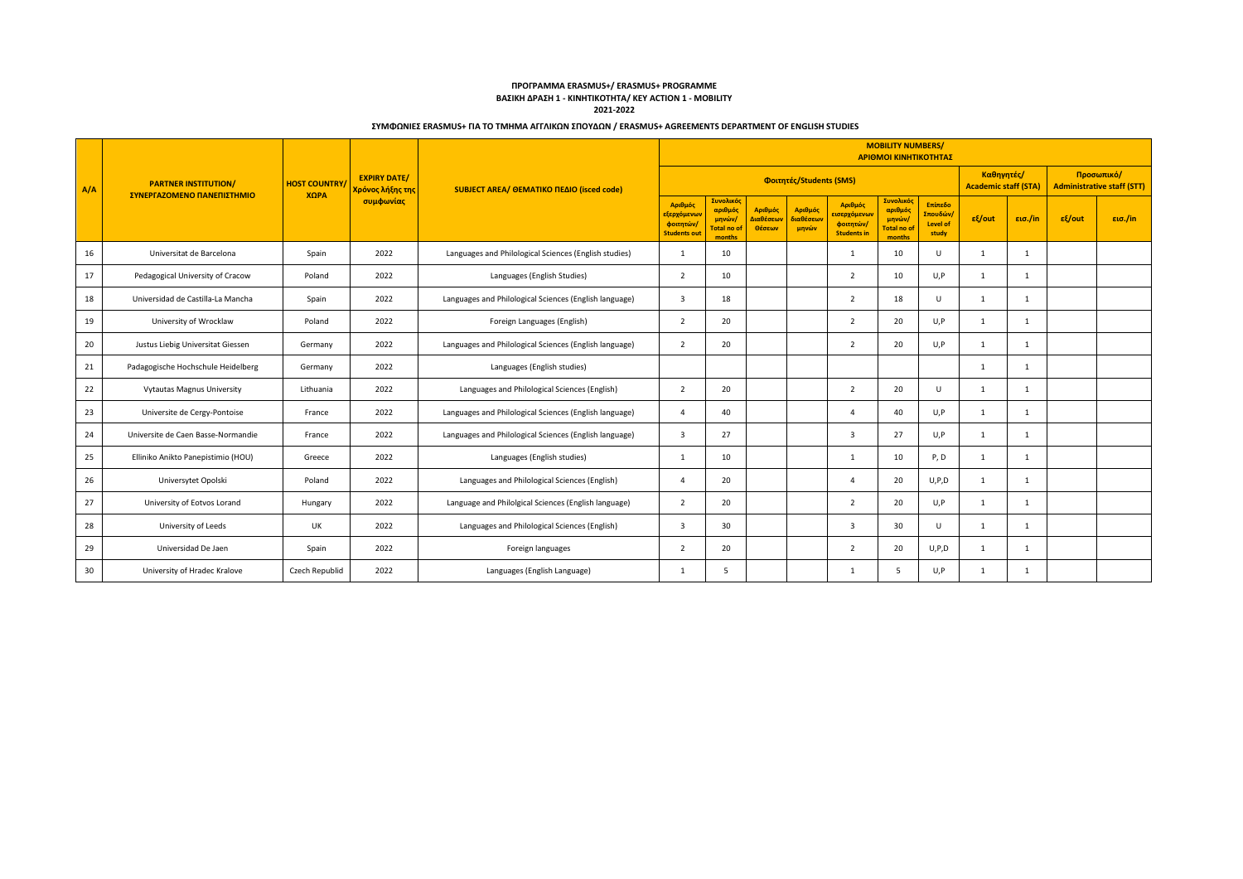|     |                                    |                     |                                         |                                                        |                                                           |                                                       |                                             |                               |                                                                        | <b>MOBILITY NUMBERS/</b><br>ΑΡΙΘΜΟΙ ΚΙΝΗΤΙΚΟΤΗΤΑΣ            |                                                 |              |                                           |                                                 |         |
|-----|------------------------------------|---------------------|-----------------------------------------|--------------------------------------------------------|-----------------------------------------------------------|-------------------------------------------------------|---------------------------------------------|-------------------------------|------------------------------------------------------------------------|--------------------------------------------------------------|-------------------------------------------------|--------------|-------------------------------------------|-------------------------------------------------|---------|
| A/A | <b>PARTNER INSTITUTION/</b>        | <b>HOST COUNTRY</b> | <b>EXPIRY DATE/</b><br>Χρόνος λήξης της | SUBJECT AREA/ OEMATIKO ΠΕΔΙΟ (isced code)              |                                                           | Φοιτητές/Students (SMS)                               |                                             |                               |                                                                        |                                                              |                                                 |              | Καθηγητές/<br><b>Academic staff (STA)</b> | Προσωπικό/<br><b>Administrative staff (STT)</b> |         |
|     | ΣΥΝΕΡΓΑΖΟΜΕΝΟ ΠΑΝΕΠΙΣΤΗΜΙΟ         | ΧΩРА                | συμφωνίας                               |                                                        | Αριθμός<br>εξερχόμενω<br>φοιτητών,<br><b>Students out</b> | Συνολικός<br>αριθμός<br>μηνών/<br>otal no c<br>months | Αριθμός<br><mark>λιαθέσεων</mark><br>Θέσεων | Αριθμός<br>διαθέσεων<br>μηνών | Αριθμός<br><mark>εισερχόμενω</mark><br>φοιτητών/<br><b>Students in</b> | Συνολικό<br>αριθμός<br>μηνών/<br><b>Total no o</b><br>months | Επίπεδο<br>Σπουδών/<br><b>Level of</b><br>study | $ε$ {/out    | εισ./in                                   | εξ/out                                          | εισ./in |
| 16  | Universitat de Barcelona           | Spain               | 2022                                    | Languages and Philological Sciences (English studies)  | $\overline{1}$                                            | 10                                                    |                                             |                               | 1                                                                      | 10                                                           | $\cup$                                          | 1            | 1                                         |                                                 |         |
| 17  | Pedagogical University of Cracow   | Poland              | 2022                                    | Languages (English Studies)                            | 2                                                         | 10                                                    |                                             |                               | $\overline{2}$                                                         | 10                                                           | U,P                                             | 1            | 1                                         |                                                 |         |
| 18  | Universidad de Castilla-La Mancha  | Spain               | 2022                                    | Languages and Philological Sciences (English language) | 3                                                         | 18                                                    |                                             |                               | 2                                                                      | 18                                                           | $\cup$                                          | 1            | 1                                         |                                                 |         |
| 19  | University of Wrocklaw             | Poland              | 2022                                    | Foreign Languages (English)                            | $\overline{2}$                                            | 20                                                    |                                             |                               | $\overline{2}$                                                         | 20                                                           | U, P                                            | 1            | 1                                         |                                                 |         |
| 20  | Justus Liebig Universitat Giessen  | Germany             | 2022                                    | Languages and Philological Sciences (English language) | $\overline{2}$                                            | 20                                                    |                                             |                               | $\overline{2}$                                                         | 20                                                           | U, P                                            | 1            | 1                                         |                                                 |         |
| 21  | Padagogische Hochschule Heidelberg | Germany             | 2022                                    | Languages (English studies)                            |                                                           |                                                       |                                             |                               |                                                                        |                                                              |                                                 | $\mathbf{1}$ | $\mathbf{1}$                              |                                                 |         |
| 22  | <b>Vytautas Magnus University</b>  | Lithuania           | 2022                                    | Languages and Philological Sciences (English)          | $\overline{2}$                                            | 20                                                    |                                             |                               | $\overline{2}$                                                         | 20                                                           | U                                               | 1            | $\mathbf{1}$                              |                                                 |         |
| 23  | Universite de Cergy-Pontoise       | France              | 2022                                    | Languages and Philological Sciences (English language) | $\Delta$                                                  | 40                                                    |                                             |                               | $\overline{4}$                                                         | 40                                                           | U.P                                             | $\mathbf{1}$ | $\overline{1}$                            |                                                 |         |
| 24  | Universite de Caen Basse-Normandie | France              | 2022                                    | Languages and Philological Sciences (English language) | 3                                                         | 27                                                    |                                             |                               | 3                                                                      | 27                                                           | U, P                                            | 1            | $\mathbf{1}$                              |                                                 |         |
| 25  | Elliniko Anikto Panepistimio (HOU) | Greece              | 2022                                    | Languages (English studies)                            | 1                                                         | 10                                                    |                                             |                               | 1                                                                      | 10                                                           | P, D                                            | 1            | 1                                         |                                                 |         |
| 26  | Universytet Opolski                | Poland              | 2022                                    | Languages and Philological Sciences (English)          | $\overline{4}$                                            | 20                                                    |                                             |                               | $\overline{4}$                                                         | 20                                                           | U, P, D                                         | 1            | 1                                         |                                                 |         |
| 27  | University of Eotvos Lorand        | Hungary             | 2022                                    | Language and Philolgical Sciences (English language)   | $\overline{2}$                                            | 20                                                    |                                             |                               | $\overline{2}$                                                         | 20                                                           | U, P                                            | 1            | 1                                         |                                                 |         |
| 28  | University of Leeds                | <b>UK</b>           | 2022                                    | Languages and Philological Sciences (English)          | $\overline{3}$                                            | 30                                                    |                                             |                               | $\overline{\mathbf{3}}$                                                | 30                                                           | $\mathbf{U}$                                    | 1            | 1                                         |                                                 |         |
| 29  | Universidad De Jaen                | Spain               | 2022                                    | Foreign languages                                      | $\overline{2}$                                            | 20                                                    |                                             |                               | $\overline{2}$                                                         | 20                                                           | U, P, D                                         | 1            | $\mathbf{1}$                              |                                                 |         |
| 30  | University of Hradec Kralove       | Czech Republid      | 2022                                    | Languages (English Language)                           |                                                           | 5                                                     |                                             |                               | $\overline{1}$                                                         | -5                                                           | U.P                                             | 1            | $\mathbf{1}$                              |                                                 |         |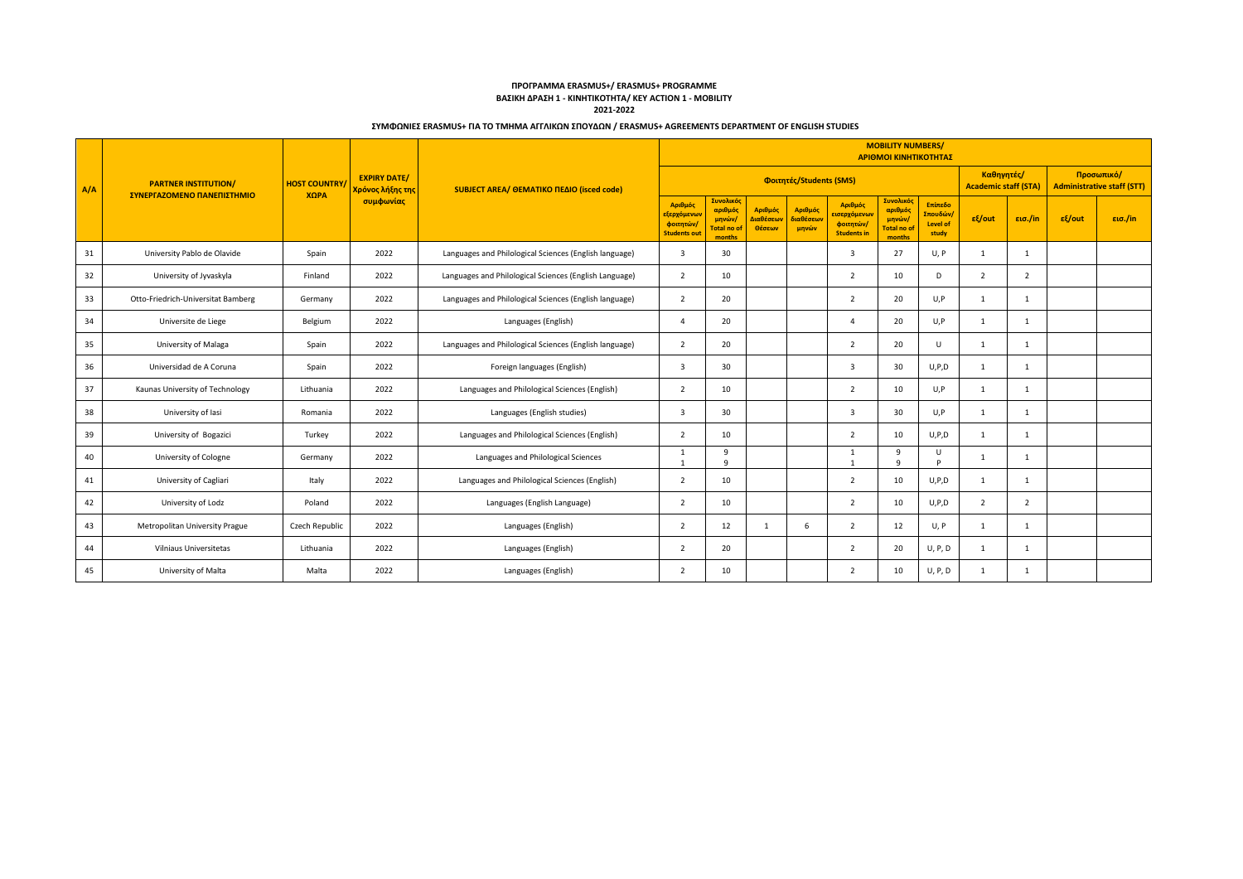|     |                                    |                     |                                         |                                                        |                                                            |                                                       |                                             |                               |                                                                        | <b>MOBILITY NUMBERS/</b><br>ΑΡΙΘΜΟΙ ΚΙΝΗΤΙΚΟΤΗΤΑΣ             |                                                 |                                           |                |                                                 |  |  |  |
|-----|------------------------------------|---------------------|-----------------------------------------|--------------------------------------------------------|------------------------------------------------------------|-------------------------------------------------------|---------------------------------------------|-------------------------------|------------------------------------------------------------------------|---------------------------------------------------------------|-------------------------------------------------|-------------------------------------------|----------------|-------------------------------------------------|--|--|--|
| A/A | <b>PARTNER INSTITUTION/</b>        | <b>HOST COUNTRY</b> | <b>EXPIRY DATE/</b><br>Χρόνος λήξης της | SUBJECT AREA/ OEMATIKO ΠΕΔΙΟ (isced code)              | Φοιτητές/Students (SMS)                                    |                                                       |                                             |                               |                                                                        |                                                               |                                                 | Καθηγητές/<br><b>Academic staff (STA)</b> |                | Προσωπικό/<br><b>Administrative staff (STT)</b> |  |  |  |
|     | ΣΥΝΕΡΓΑΖΟΜΕΝΟ ΠΑΝΕΠΙΣΤΗΜΙΟ         | ΧΩРА                | συμφωνίας                               |                                                        | Αριθμός<br>εξερχόμενων<br>φοιτητών,<br><b>Students out</b> | Συνολικός<br>αριθμός<br>μηνών/<br>otal no c<br>months | Αριθμός<br><mark>Διαθέσεων</mark><br>Θέσεων | Αριθμός<br>διαθέσεων<br>μηνών | Αριθμός<br><mark>εισερχόμενω</mark><br>φοιτητών/<br><b>Students in</b> | Συνολικό<br>αριθμός<br>μηνών/<br><b>Total no of</b><br>months | Επίπεδο<br>Σπουδών/<br><b>Level of</b><br>study | $ε$ {/out<br>εισ./in                      | εξ/out         | εισ./in                                         |  |  |  |
| 31  | University Pablo de Olavide        | Spain               | 2022                                    | Languages and Philological Sciences (English language) | 3                                                          | 30                                                    |                                             |                               | 3                                                                      | 27                                                            | U, P                                            | 1                                         | 1              |                                                 |  |  |  |
| 32  | University of Jyvaskyla            | Finland             | 2022                                    | Languages and Philological Sciences (English Language) | $\overline{2}$                                             | 10                                                    |                                             |                               | $\overline{2}$                                                         | 10                                                            | D                                               | $\overline{2}$                            | 2              |                                                 |  |  |  |
| 33  | Otto-Friedrich-Universitat Bamberg | Germany             | 2022                                    | Languages and Philological Sciences (English language) | $\overline{2}$                                             | 20                                                    |                                             |                               | $\overline{2}$                                                         | 20                                                            | U, P                                            | 1                                         | 1              |                                                 |  |  |  |
| 34  | Universite de Liege                | Belgium             | 2022                                    | Languages (English)                                    | $\overline{a}$                                             | 20                                                    |                                             |                               | $\overline{a}$                                                         | 20                                                            | U, P                                            | 1                                         | 1              |                                                 |  |  |  |
| 35  | University of Malaga               | Spain               | 2022                                    | Languages and Philological Sciences (English language) | $\overline{2}$                                             | 20                                                    |                                             |                               | 2                                                                      | 20                                                            | U                                               | 1                                         | 1              |                                                 |  |  |  |
| 36  | Universidad de A Coruna            | Spain               | 2022                                    | Foreign languages (English)                            | $\mathbf{3}$                                               | 30                                                    |                                             |                               | 3                                                                      | 30                                                            | U, P, D                                         | 1                                         | $\overline{1}$ |                                                 |  |  |  |
| 37  | Kaunas University of Technology    | Lithuania           | 2022                                    | Languages and Philological Sciences (English)          | 2                                                          | 10                                                    |                                             |                               | $\overline{2}$                                                         | 10                                                            | U,P                                             | 1                                         | -1             |                                                 |  |  |  |
| 38  | University of lasi                 | Romania             | 2022                                    | Languages (English studies)                            | 3                                                          | 30                                                    |                                             |                               | 3                                                                      | 30                                                            | U, P                                            | $\mathbf{1}$                              | $\mathbf{1}$   |                                                 |  |  |  |
| 39  | University of Bogazici             | Turkey              | 2022                                    | Languages and Philological Sciences (English)          | $\overline{2}$                                             | 10                                                    |                                             |                               | 2                                                                      | 10                                                            | U, P, D                                         | 1                                         | 1              |                                                 |  |  |  |
| 40  | University of Cologne              | Germany             | 2022                                    | Languages and Philological Sciences                    | -1                                                         | -9<br>$\circ$                                         |                                             |                               | 1                                                                      | 9<br>$\mathbf{q}$                                             | U<br><b>D</b>                                   | -1                                        | $\mathbf{1}$   |                                                 |  |  |  |
| 41  | University of Cagliari             | Italy               | 2022                                    | Languages and Philological Sciences (English)          | $\overline{2}$                                             | 10                                                    |                                             |                               | $\overline{2}$                                                         | 10                                                            | U, P, D                                         | 1                                         | 1              |                                                 |  |  |  |
| 42  | University of Lodz                 | Poland              | 2022                                    | Languages (English Language)                           | $\overline{2}$                                             | 10                                                    |                                             |                               | $\overline{2}$                                                         | 10                                                            | U, P, D                                         | $\overline{2}$                            | $\overline{2}$ |                                                 |  |  |  |
| 43  | Metropolitan University Prague     | Czech Republic      | 2022                                    | Languages (English)                                    | $\overline{2}$                                             | 12                                                    | 1                                           | 6                             | $\overline{2}$                                                         | 12                                                            | U, P                                            | 1                                         | 1              |                                                 |  |  |  |
| 44  | Vilniaus Universitetas             | Lithuania           | 2022                                    | Languages (English)                                    | $\overline{2}$                                             | 20                                                    |                                             |                               | $\overline{2}$                                                         | 20                                                            | U, P, D                                         | 1                                         | $\mathbf{1}$   |                                                 |  |  |  |
| 45  | University of Malta                | Malta               | 2022                                    | Languages (English)                                    | $\overline{2}$                                             | 10                                                    |                                             |                               | $\overline{2}$                                                         | 10                                                            | <b>U, P, D</b>                                  | -1                                        | $\mathbf{1}$   |                                                 |  |  |  |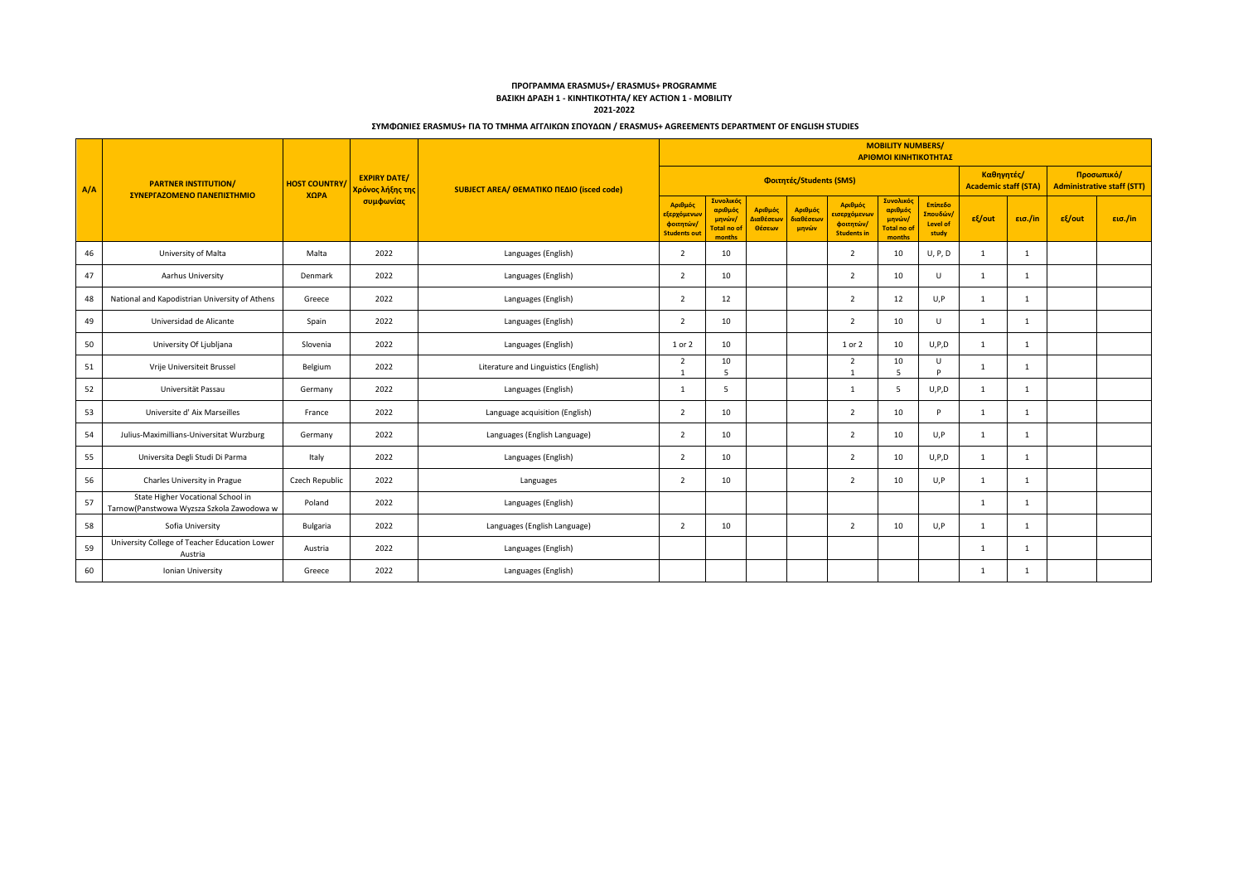|     |                                                                                |                                                                |                                           |                                      |                                                            |                                                       |                                             |                               |                                                            | <b>MOBILITY NUMBERS/</b><br>ΑΡΙΘΜΟΙ ΚΙΝΗΤΙΚΟΤΗΤΑΣ            |                                           |              |                                                 |        |         |
|-----|--------------------------------------------------------------------------------|----------------------------------------------------------------|-------------------------------------------|--------------------------------------|------------------------------------------------------------|-------------------------------------------------------|---------------------------------------------|-------------------------------|------------------------------------------------------------|--------------------------------------------------------------|-------------------------------------------|--------------|-------------------------------------------------|--------|---------|
| A/A | <b>PARTNER INSTITUTION/</b>                                                    | <b>EXPIRY DATE/</b><br><b>HOST COUNTRY</b><br>Χρόνος λήξης της | SUBJECT AREA/ OEMATIKO ΠΕΔΙΟ (isced code) | Φοιτητές/Students (SMS)              |                                                            |                                                       |                                             |                               |                                                            |                                                              | Καθηγητές/<br><b>Academic staff (STA)</b> |              | Προσωπικό/<br><b>Administrative staff (STT)</b> |        |         |
|     | ΣΥΝΕΡΓΑΖΟΜΕΝΟ ΠΑΝΕΠΙΣΤΗΜΙΟ                                                     | ΧΩРА                                                           | συμφωνίας                                 |                                      | Αριθμός<br>εξερχόμενων<br>φοιτητών/<br><b>Students out</b> | Συνολικός<br>αριθμός<br>μηνών/<br>otal no d<br>months | Αριθμός<br><mark>Διαθέσεων</mark><br>Θέσεων | Αριθμός<br>διαθέσεων<br>μηνών | Αριθμός<br>εισερχόμενωι<br>φοιτητών/<br><b>Students in</b> | <b>Συνολικό</b><br>αριθμός<br>μηνών/<br>Total no o<br>months | Επίπεδο<br>Σπουδών/<br>Level of<br>study  | $ε$ {out     | εισ./in                                         | εξ/out | εισ./in |
| 46  | University of Malta                                                            | Malta                                                          | 2022                                      | Languages (English)                  | $\overline{2}$                                             | 10                                                    |                                             |                               | $\overline{2}$                                             | 10                                                           | U, P, D                                   | 1            | 1                                               |        |         |
| 47  | Aarhus University                                                              | Denmark                                                        | 2022                                      | Languages (English)                  | $\overline{2}$                                             | 10                                                    |                                             |                               | $\overline{2}$                                             | 10                                                           | $\cup$                                    | 1            | 1                                               |        |         |
| 48  | National and Kapodistrian University of Athens                                 | Greece                                                         | 2022                                      | Languages (English)                  | $\overline{2}$                                             | 12                                                    |                                             |                               | $\overline{2}$                                             | 12                                                           | U, P                                      | <sup>1</sup> | 1                                               |        |         |
| 49  | Universidad de Alicante                                                        | Spain                                                          | 2022                                      | Languages (English)                  | $\overline{2}$                                             | 10                                                    |                                             |                               | $\overline{2}$                                             | 10                                                           | $\mathbf{U}$                              | 1            | $\mathbf{1}$                                    |        |         |
| 50  | University Of Ljubljana                                                        | Slovenia                                                       | 2022                                      | Languages (English)                  | 1 or 2                                                     | 10                                                    |                                             |                               | 1 or 2                                                     | 10                                                           | U, P, D                                   | 1            | $\mathbf{1}$                                    |        |         |
| 51  | Vrije Universiteit Brussel                                                     | Belgium                                                        | 2022                                      | Literature and Linguistics (English) | $\overline{2}$                                             | 10<br>-5                                              |                                             |                               | $\overline{2}$<br>$\overline{1}$                           | 10<br>-5                                                     | U<br><b>D</b>                             | $\mathbf{1}$ | $\mathbf{1}$                                    |        |         |
| 52  | Universität Passau                                                             | Germany                                                        | 2022                                      | Languages (English)                  | 1                                                          | -5                                                    |                                             |                               | 1                                                          | -5                                                           | U, P, D                                   | 1            | 1                                               |        |         |
| 53  | Universite d'Aix Marseilles                                                    | France                                                         | 2022                                      | Language acquisition (English)       | $\overline{2}$                                             | 10                                                    |                                             |                               | $\overline{2}$                                             | 10                                                           | P                                         | $\mathbf{1}$ | 1                                               |        |         |
| 54  | Julius-Maximillians-Universitat Wurzburg                                       | Germany                                                        | 2022                                      | Languages (English Language)         | $\overline{2}$                                             | 10                                                    |                                             |                               | $\overline{2}$                                             | 10                                                           | U,P                                       | 1            | 1                                               |        |         |
| 55  | Universita Degli Studi Di Parma                                                | Italy                                                          | 2022                                      | Languages (English)                  | $\overline{2}$                                             | 10                                                    |                                             |                               | $\overline{2}$                                             | 10                                                           | U, P, D                                   | $\mathbf{1}$ | 1                                               |        |         |
| 56  | Charles University in Prague                                                   | Czech Republic                                                 | 2022                                      | Languages                            | $\overline{2}$                                             | 10                                                    |                                             |                               | $\overline{2}$                                             | 10                                                           | U,P                                       | 1            | 1                                               |        |         |
| 57  | State Higher Vocational School in<br>Tarnow(Panstwowa Wyzsza Szkola Zawodowa w | Poland                                                         | 2022                                      | Languages (English)                  |                                                            |                                                       |                                             |                               |                                                            |                                                              |                                           | 1            | 1                                               |        |         |
| 58  | Sofia University                                                               | Bulgaria                                                       | 2022                                      | Languages (English Language)         | $\overline{2}$                                             | 10                                                    |                                             |                               | $\overline{2}$                                             | 10                                                           | U,P                                       | 1            | 1                                               |        |         |
| 59  | University College of Teacher Education Lower<br>Austria                       | Austria                                                        | 2022                                      | Languages (English)                  |                                                            |                                                       |                                             |                               |                                                            |                                                              |                                           | $\mathbf{1}$ | $\mathbf{1}$                                    |        |         |
| 60  | Ionian University                                                              | Greece                                                         | 2022                                      | Languages (English)                  |                                                            |                                                       |                                             |                               |                                                            |                                                              |                                           | 1            | $\mathbf{1}$                                    |        |         |